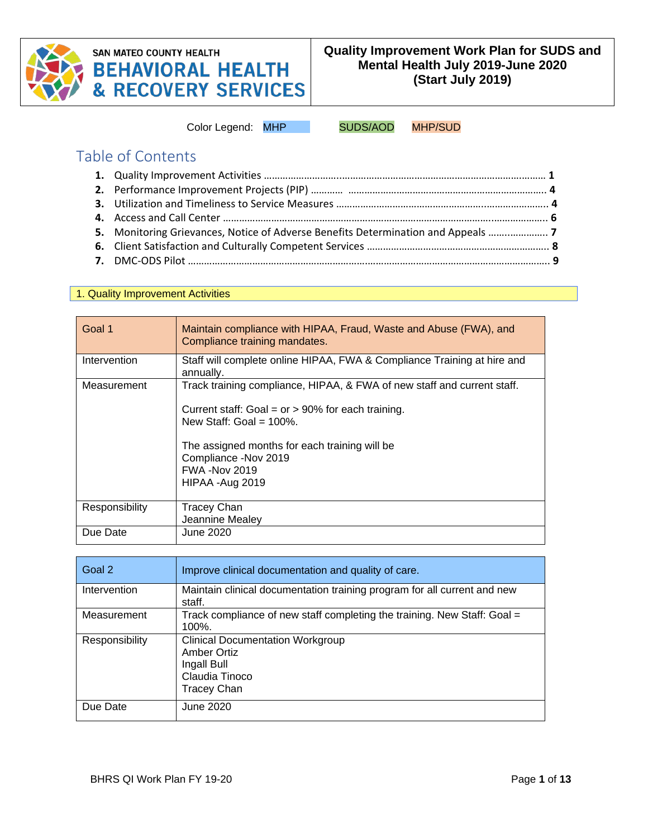

# **SAN MATEO COUNTY HEALTH BEHAVIORAL HEALTH<br>& RECOVERY SERVICES**

Color Legend: MHP SUDS/AOD MHP/SUD

## Table of Contents

| 5. Monitoring Grievances, Notice of Adverse Benefits Determination and Appeals |  |
|--------------------------------------------------------------------------------|--|
|                                                                                |  |
|                                                                                |  |

#### 1. Quality Improvement Activities

| Goal 1         | Maintain compliance with HIPAA, Fraud, Waste and Abuse (FWA), and<br>Compliance training mandates.                                                                                                                                                                                  |
|----------------|-------------------------------------------------------------------------------------------------------------------------------------------------------------------------------------------------------------------------------------------------------------------------------------|
| Intervention   | Staff will complete online HIPAA, FWA & Compliance Training at hire and<br>annually.                                                                                                                                                                                                |
| Measurement    | Track training compliance, HIPAA, & FWA of new staff and current staff.<br>Current staff: Goal = $or$ > 90% for each training.<br>New Staff: Goal = $100\%$ .<br>The assigned months for each training will be<br>Compliance - Nov 2019<br><b>FWA -Nov 2019</b><br>HIPAA - Aug 2019 |
| Responsibility | <b>Tracey Chan</b><br>Jeannine Mealey                                                                                                                                                                                                                                               |
| Due Date       | June 2020                                                                                                                                                                                                                                                                           |

| Goal 2         | Improve clinical documentation and quality of care.                                                           |
|----------------|---------------------------------------------------------------------------------------------------------------|
| Intervention   | Maintain clinical documentation training program for all current and new<br>staff.                            |
| Measurement    | Track compliance of new staff completing the training. New Staff: Goal =<br>$100\%$ .                         |
| Responsibility | <b>Clinical Documentation Workgroup</b><br>Amber Ortiz<br>Ingall Bull<br>Claudia Tinoco<br><b>Tracey Chan</b> |
| Due Date       | June 2020                                                                                                     |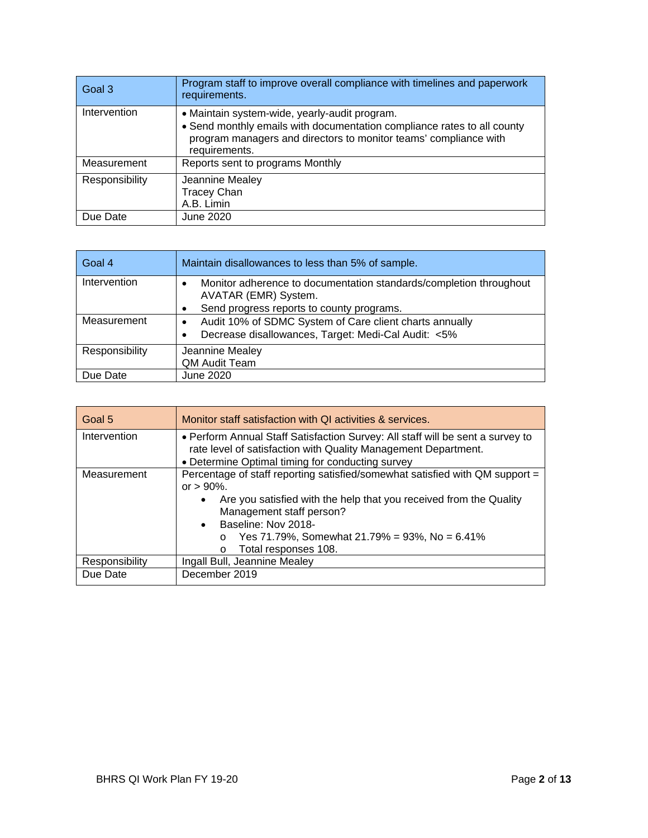| Goal 3         | Program staff to improve overall compliance with timelines and paperwork<br>requirements.                                                                                                                     |
|----------------|---------------------------------------------------------------------------------------------------------------------------------------------------------------------------------------------------------------|
| Intervention   | • Maintain system-wide, yearly-audit program.<br>• Send monthly emails with documentation compliance rates to all county<br>program managers and directors to monitor teams' compliance with<br>requirements. |
| Measurement    | Reports sent to programs Monthly                                                                                                                                                                              |
| Responsibility | Jeannine Mealey<br><b>Tracey Chan</b><br>A.B. Limin                                                                                                                                                           |
| Due Date       | June 2020                                                                                                                                                                                                     |

| Goal 4         | Maintain disallowances to less than 5% of sample.                                                                           |
|----------------|-----------------------------------------------------------------------------------------------------------------------------|
| Intervention   | Monitor adherence to documentation standards/completion throughout<br>$\bullet$<br>AVATAR (EMR) System.                     |
|                | Send progress reports to county programs.<br>٠                                                                              |
| Measurement    | Audit 10% of SDMC System of Care client charts annually<br>$\bullet$<br>Decrease disallowances, Target: Medi-Cal Audit: <5% |
| Responsibility | Jeannine Mealey<br>QM Audit Team                                                                                            |
| Due Date       | June 2020                                                                                                                   |

| Goal 5         | Monitor staff satisfaction with QI activities & services.                                                                                                                                                                                                                                                                            |
|----------------|--------------------------------------------------------------------------------------------------------------------------------------------------------------------------------------------------------------------------------------------------------------------------------------------------------------------------------------|
| Intervention   | • Perform Annual Staff Satisfaction Survey: All staff will be sent a survey to<br>rate level of satisfaction with Quality Management Department.<br>• Determine Optimal timing for conducting survey                                                                                                                                 |
| Measurement    | Percentage of staff reporting satisfied/somewhat satisfied with QM support =<br>or $> 90\%$ .<br>Are you satisfied with the help that you received from the Quality<br>$\bullet$<br>Management staff person?<br>• Baseline: Nov 2018-<br>Yes 71.79%, Somewhat 21.79% = 93%, No = 6.41%<br>$\circ$<br>Total responses 108.<br>$\circ$ |
| Responsibility | Ingall Bull, Jeannine Mealey                                                                                                                                                                                                                                                                                                         |
| Due Date       | December 2019                                                                                                                                                                                                                                                                                                                        |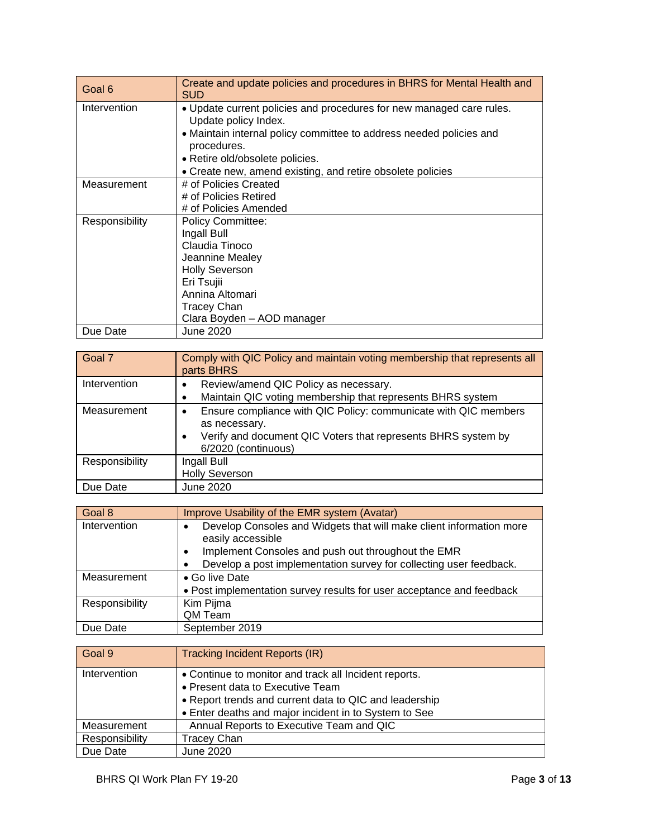| Goal 6         | Create and update policies and procedures in BHRS for Mental Health and<br><b>SUD</b>        |
|----------------|----------------------------------------------------------------------------------------------|
| Intervention   | . Update current policies and procedures for new managed care rules.<br>Update policy Index. |
|                | • Maintain internal policy committee to address needed policies and<br>procedures.           |
|                | • Retire old/obsolete policies.                                                              |
|                | • Create new, amend existing, and retire obsolete policies                                   |
| Measurement    | # of Policies Created                                                                        |
|                | # of Policies Retired                                                                        |
|                | # of Policies Amended                                                                        |
| Responsibility | <b>Policy Committee:</b>                                                                     |
|                | Ingall Bull                                                                                  |
|                | Claudia Tinoco                                                                               |
|                | Jeannine Mealey                                                                              |
|                | <b>Holly Severson</b>                                                                        |
|                | Eri Tsujii                                                                                   |
|                | Annina Altomari                                                                              |
|                | <b>Tracey Chan</b>                                                                           |
|                | Clara Boyden - AOD manager                                                                   |
| Due Date       | June 2020                                                                                    |

| Goal 7         | Comply with QIC Policy and maintain voting membership that represents all<br>parts BHRS                                                                                       |
|----------------|-------------------------------------------------------------------------------------------------------------------------------------------------------------------------------|
| Intervention   | Review/amend QIC Policy as necessary.<br>Maintain QIC voting membership that represents BHRS system                                                                           |
| Measurement    | Ensure compliance with QIC Policy: communicate with QIC members<br>٠<br>as necessary.<br>Verify and document QIC Voters that represents BHRS system by<br>6/2020 (continuous) |
| Responsibility | Ingall Bull<br><b>Holly Severson</b>                                                                                                                                          |
| Due Date       | June 2020                                                                                                                                                                     |

| Goal 8         | Improve Usability of the EMR system (Avatar)                                                          |
|----------------|-------------------------------------------------------------------------------------------------------|
| Intervention   | Develop Consoles and Widgets that will make client information more<br>$\bullet$<br>easily accessible |
|                | Implement Consoles and push out throughout the EMR<br>$\bullet$                                       |
|                | Develop a post implementation survey for collecting user feedback.<br>٠                               |
| Measurement    | • Go live Date                                                                                        |
|                | • Post implementation survey results for user acceptance and feedback                                 |
| Responsibility | Kim Pijma                                                                                             |
|                | QM Team                                                                                               |
| Due Date       | September 2019                                                                                        |

| Goal 9         | <b>Tracking Incident Reports (IR)</b>                  |
|----------------|--------------------------------------------------------|
| Intervention   | • Continue to monitor and track all Incident reports.  |
|                | • Present data to Executive Team                       |
|                | • Report trends and current data to QIC and leadership |
|                | • Enter deaths and major incident in to System to See  |
| Measurement    | Annual Reports to Executive Team and QIC               |
| Responsibility | <b>Tracey Chan</b>                                     |
| Due Date       | June 2020                                              |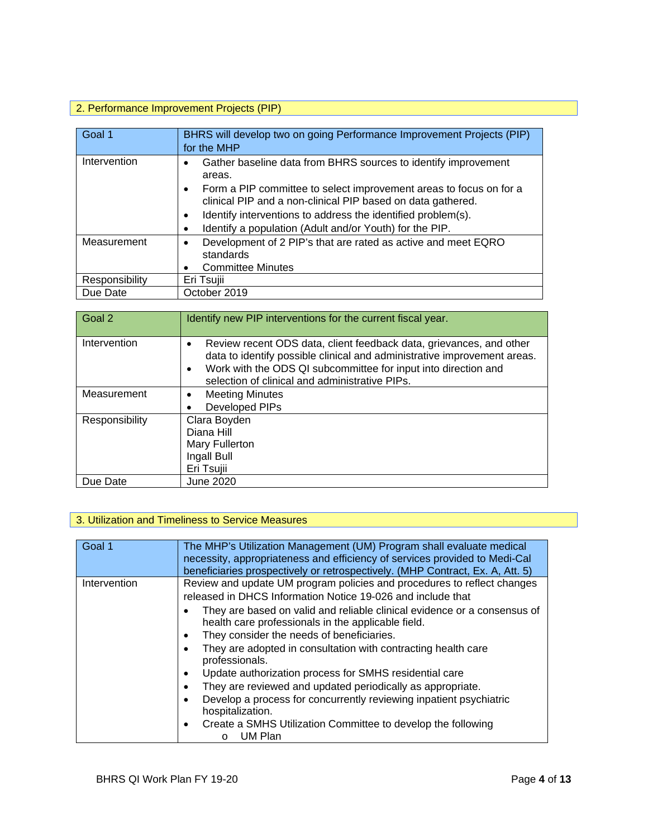## 2. Performance Improvement Projects (PIP)

| Goal 1         | BHRS will develop two on going Performance Improvement Projects (PIP)<br>for the MHP                                                                                                                                            |
|----------------|---------------------------------------------------------------------------------------------------------------------------------------------------------------------------------------------------------------------------------|
| Intervention   | Gather baseline data from BHRS sources to identify improvement<br>٠<br>areas.<br>Form a PIP committee to select improvement areas to focus on for a<br>$\bullet$<br>clinical PIP and a non-clinical PIP based on data gathered. |
|                | Identify interventions to address the identified problem(s).<br>$\bullet$<br>Identify a population (Adult and/or Youth) for the PIP.<br>$\bullet$                                                                               |
| Measurement    | Development of 2 PIP's that are rated as active and meet EQRO<br>$\bullet$<br>standards<br><b>Committee Minutes</b>                                                                                                             |
| Responsibility | Eri Tsujii                                                                                                                                                                                                                      |
| Due Date       | October 2019                                                                                                                                                                                                                    |

| Goal 2         | Identify new PIP interventions for the current fiscal year.                                                                                                                                                                                                                      |
|----------------|----------------------------------------------------------------------------------------------------------------------------------------------------------------------------------------------------------------------------------------------------------------------------------|
| Intervention   | Review recent ODS data, client feedback data, grievances, and other<br>$\bullet$<br>data to identify possible clinical and administrative improvement areas.<br>Work with the ODS QI subcommittee for input into direction and<br>selection of clinical and administrative PIPs. |
| Measurement    | <b>Meeting Minutes</b>                                                                                                                                                                                                                                                           |
|                | Developed PIPs                                                                                                                                                                                                                                                                   |
| Responsibility | Clara Boyden<br>Diana Hill<br>Mary Fullerton<br>Ingall Bull<br>Eri Tsujii                                                                                                                                                                                                        |
| Due Date       | <b>June 2020</b>                                                                                                                                                                                                                                                                 |

#### 3. Utilization and Timeliness to Service Measures

| Goal 1       | The MHP's Utilization Management (UM) Program shall evaluate medical<br>necessity, appropriateness and efficiency of services provided to Medi-Cal<br>beneficiaries prospectively or retrospectively. (MHP Contract, Ex. A, Att. 5)                                                                                                                                                                                                                                                                                                                                                                                                                                                                                                                                                      |
|--------------|------------------------------------------------------------------------------------------------------------------------------------------------------------------------------------------------------------------------------------------------------------------------------------------------------------------------------------------------------------------------------------------------------------------------------------------------------------------------------------------------------------------------------------------------------------------------------------------------------------------------------------------------------------------------------------------------------------------------------------------------------------------------------------------|
| Intervention | Review and update UM program policies and procedures to reflect changes<br>released in DHCS Information Notice 19-026 and include that<br>They are based on valid and reliable clinical evidence or a consensus of<br>health care professionals in the applicable field.<br>They consider the needs of beneficiaries.<br>$\bullet$<br>They are adopted in consultation with contracting health care<br>$\bullet$<br>professionals.<br>Update authorization process for SMHS residential care<br>$\bullet$<br>They are reviewed and updated periodically as appropriate.<br>$\bullet$<br>Develop a process for concurrently reviewing inpatient psychiatric<br>$\bullet$<br>hospitalization.<br>Create a SMHS Utilization Committee to develop the following<br>$\bullet$<br>UM Plan<br>O |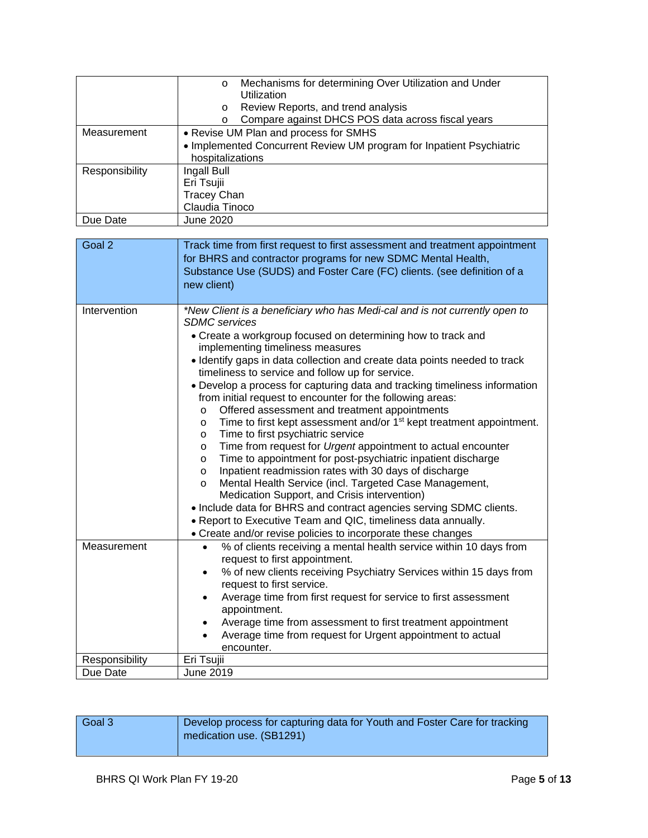|                | Mechanisms for determining Over Utilization and Under<br>$\circ$<br>Utilization<br>Review Reports, and trend analysis<br>$\circ$<br>Compare against DHCS POS data across fiscal years<br>O |
|----------------|--------------------------------------------------------------------------------------------------------------------------------------------------------------------------------------------|
| Measurement    | • Revise UM Plan and process for SMHS<br>• Implemented Concurrent Review UM program for Inpatient Psychiatric<br>hospitalizations                                                          |
| Responsibility | Ingall Bull<br>Eri Tsujii<br><b>Tracey Chan</b><br>Claudia Tinoco                                                                                                                          |
| Due Date       | June 2020                                                                                                                                                                                  |

| Goal 2         | Track time from first request to first assessment and treatment appointment<br>for BHRS and contractor programs for new SDMC Mental Health,<br>Substance Use (SUDS) and Foster Care (FC) clients. (see definition of a<br>new client)                                                                                                                                                                                                                                                                                                                                                                                                                                                                                                                                                                                                                                                                                                                                                                                                                                                                                                                                                                                                                 |
|----------------|-------------------------------------------------------------------------------------------------------------------------------------------------------------------------------------------------------------------------------------------------------------------------------------------------------------------------------------------------------------------------------------------------------------------------------------------------------------------------------------------------------------------------------------------------------------------------------------------------------------------------------------------------------------------------------------------------------------------------------------------------------------------------------------------------------------------------------------------------------------------------------------------------------------------------------------------------------------------------------------------------------------------------------------------------------------------------------------------------------------------------------------------------------------------------------------------------------------------------------------------------------|
| Intervention   | *New Client is a beneficiary who has Medi-cal and is not currently open to<br><b>SDMC</b> services<br>• Create a workgroup focused on determining how to track and<br>implementing timeliness measures<br>· Identify gaps in data collection and create data points needed to track<br>timeliness to service and follow up for service.<br>• Develop a process for capturing data and tracking timeliness information<br>from initial request to encounter for the following areas:<br>Offered assessment and treatment appointments<br>$\circ$<br>Time to first kept assessment and/or 1 <sup>st</sup> kept treatment appointment.<br>$\circ$<br>Time to first psychiatric service<br>$\circ$<br>Time from request for Urgent appointment to actual encounter<br>$\circ$<br>Time to appointment for post-psychiatric inpatient discharge<br>$\circ$<br>Inpatient readmission rates with 30 days of discharge<br>$\circ$<br>Mental Health Service (incl. Targeted Case Management,<br>$\circ$<br>Medication Support, and Crisis intervention)<br>• Include data for BHRS and contract agencies serving SDMC clients.<br>• Report to Executive Team and QIC, timeliness data annually.<br>• Create and/or revise policies to incorporate these changes |
| Measurement    | % of clients receiving a mental health service within 10 days from<br>$\bullet$<br>request to first appointment.<br>% of new clients receiving Psychiatry Services within 15 days from<br>$\bullet$<br>request to first service.<br>Average time from first request for service to first assessment<br>$\bullet$<br>appointment.<br>Average time from assessment to first treatment appointment<br>$\bullet$<br>Average time from request for Urgent appointment to actual<br>$\bullet$<br>encounter.                                                                                                                                                                                                                                                                                                                                                                                                                                                                                                                                                                                                                                                                                                                                                 |
| Responsibility | Eri Tsujii                                                                                                                                                                                                                                                                                                                                                                                                                                                                                                                                                                                                                                                                                                                                                                                                                                                                                                                                                                                                                                                                                                                                                                                                                                            |
| Due Date       | June 2019                                                                                                                                                                                                                                                                                                                                                                                                                                                                                                                                                                                                                                                                                                                                                                                                                                                                                                                                                                                                                                                                                                                                                                                                                                             |

| Goal 3 | Develop process for capturing data for Youth and Foster Care for tracking<br>medication use. (SB1291) |
|--------|-------------------------------------------------------------------------------------------------------|
|        |                                                                                                       |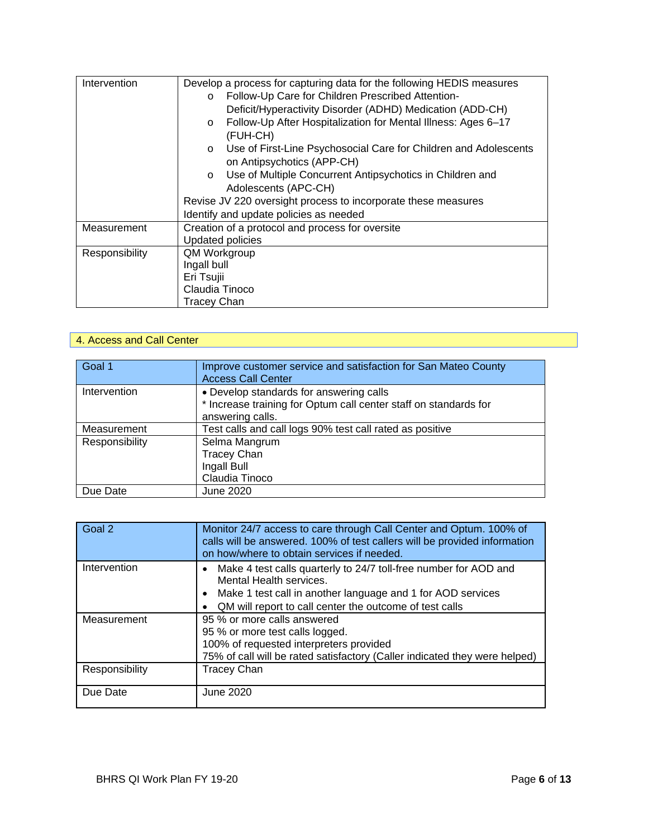| Intervention   | Develop a process for capturing data for the following HEDIS measures       |
|----------------|-----------------------------------------------------------------------------|
|                | Follow-Up Care for Children Prescribed Attention-<br>$\circ$                |
|                | Deficit/Hyperactivity Disorder (ADHD) Medication (ADD-CH)                   |
|                | Follow-Up After Hospitalization for Mental Illness: Ages 6-17<br>$\circ$    |
|                | (FUH-CH)                                                                    |
|                | Use of First-Line Psychosocial Care for Children and Adolescents<br>$\circ$ |
|                | on Antipsychotics (APP-CH)                                                  |
|                | Use of Multiple Concurrent Antipsychotics in Children and<br>$\circ$        |
|                | Adolescents (APC-CH)                                                        |
|                | Revise JV 220 oversight process to incorporate these measures               |
|                | Identify and update policies as needed                                      |
| Measurement    | Creation of a protocol and process for oversite                             |
|                | <b>Updated policies</b>                                                     |
| Responsibility | QM Workgroup                                                                |
|                | Ingall bull                                                                 |
|                | Eri Tsujii                                                                  |
|                | Claudia Tinoco                                                              |
|                | <b>Tracey Chan</b>                                                          |

#### 4. Access and Call Center

| Goal 1         | Improve customer service and satisfaction for San Mateo County<br><b>Access Call Center</b>                                     |
|----------------|---------------------------------------------------------------------------------------------------------------------------------|
| Intervention   | • Develop standards for answering calls<br>* Increase training for Optum call center staff on standards for<br>answering calls. |
| Measurement    | Test calls and call logs 90% test call rated as positive                                                                        |
| Responsibility | Selma Mangrum<br><b>Tracey Chan</b><br>Ingall Bull<br>Claudia Tinoco                                                            |
| Due Date       | June 2020                                                                                                                       |

| Goal 2         | Monitor 24/7 access to care through Call Center and Optum. 100% of<br>calls will be answered. 100% of test callers will be provided information<br>on how/where to obtain services if needed.                                      |
|----------------|------------------------------------------------------------------------------------------------------------------------------------------------------------------------------------------------------------------------------------|
| Intervention   | Make 4 test calls quarterly to 24/7 toll-free number for AOD and<br>Mental Health services.<br>Make 1 test call in another language and 1 for AOD services<br>$\bullet$<br>QM will report to call center the outcome of test calls |
| Measurement    | 95 % or more calls answered<br>95 % or more test calls logged.<br>100% of requested interpreters provided<br>75% of call will be rated satisfactory (Caller indicated they were helped)                                            |
| Responsibility | <b>Tracey Chan</b>                                                                                                                                                                                                                 |
| Due Date       | June 2020                                                                                                                                                                                                                          |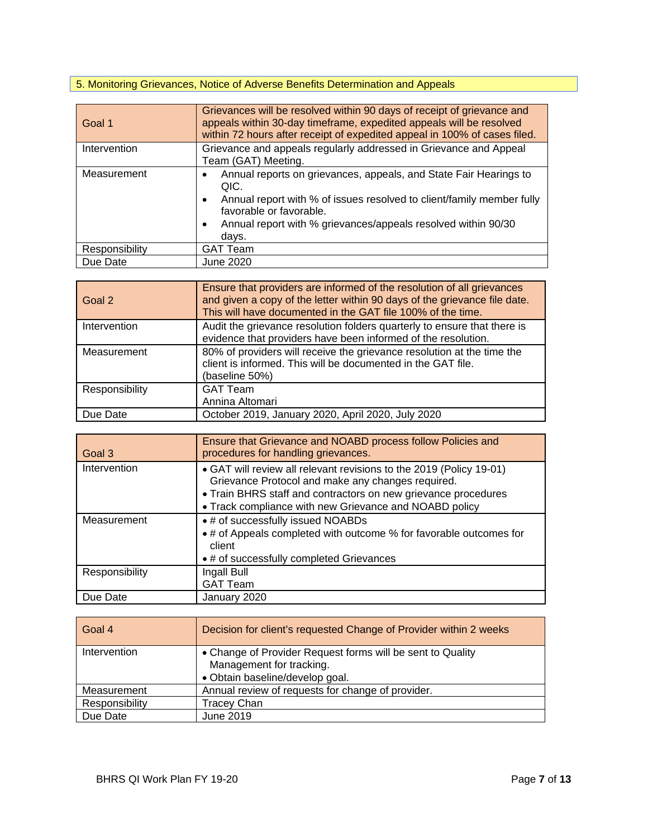## 5. Monitoring Grievances, Notice of Adverse Benefits Determination and Appeals

| Goal 1         | Grievances will be resolved within 90 days of receipt of grievance and<br>appeals within 30-day timeframe, expedited appeals will be resolved<br>within 72 hours after receipt of expedited appeal in 100% of cases filed.                                           |
|----------------|----------------------------------------------------------------------------------------------------------------------------------------------------------------------------------------------------------------------------------------------------------------------|
| Intervention   | Grievance and appeals regularly addressed in Grievance and Appeal<br>Team (GAT) Meeting.                                                                                                                                                                             |
| Measurement    | Annual reports on grievances, appeals, and State Fair Hearings to<br>QIC.<br>Annual report with % of issues resolved to client/family member fully<br>favorable or favorable.<br>Annual report with % grievances/appeals resolved within 90/30<br>$\bullet$<br>days. |
| Responsibility | <b>GAT Team</b>                                                                                                                                                                                                                                                      |
| Due Date       | <b>June 2020</b>                                                                                                                                                                                                                                                     |

| Goal 2         | Ensure that providers are informed of the resolution of all grievances<br>and given a copy of the letter within 90 days of the grievance file date.<br>This will have documented in the GAT file 100% of the time. |
|----------------|--------------------------------------------------------------------------------------------------------------------------------------------------------------------------------------------------------------------|
| Intervention   | Audit the grievance resolution folders quarterly to ensure that there is<br>evidence that providers have been informed of the resolution.                                                                          |
| Measurement    | 80% of providers will receive the grievance resolution at the time the<br>client is informed. This will be documented in the GAT file.<br>(baseline 50%)                                                           |
| Responsibility | <b>GAT Team</b><br>Annina Altomari                                                                                                                                                                                 |
| Due Date       | October 2019, January 2020, April 2020, July 2020                                                                                                                                                                  |

| Goal 3         | Ensure that Grievance and NOABD process follow Policies and<br>procedures for handling grievances.                                                                                                                                                   |
|----------------|------------------------------------------------------------------------------------------------------------------------------------------------------------------------------------------------------------------------------------------------------|
| Intervention   | • GAT will review all relevant revisions to the 2019 (Policy 19-01)<br>Grievance Protocol and make any changes required.<br>• Train BHRS staff and contractors on new grievance procedures<br>• Track compliance with new Grievance and NOABD policy |
| Measurement    | • # of successfully issued NOABDs<br>• # of Appeals completed with outcome % for favorable outcomes for<br>client<br>• # of successfully completed Grievances                                                                                        |
| Responsibility | Ingall Bull<br><b>GAT Team</b>                                                                                                                                                                                                                       |
| Due Date       | January 2020                                                                                                                                                                                                                                         |

| Goal 4         | Decision for client's requested Change of Provider within 2 weeks                      |
|----------------|----------------------------------------------------------------------------------------|
| Intervention   | • Change of Provider Request forms will be sent to Quality<br>Management for tracking. |
|                | · Obtain baseline/develop goal.                                                        |
| Measurement    | Annual review of requests for change of provider.                                      |
| Responsibility | Tracey Chan                                                                            |
| Due Date       | June 2019                                                                              |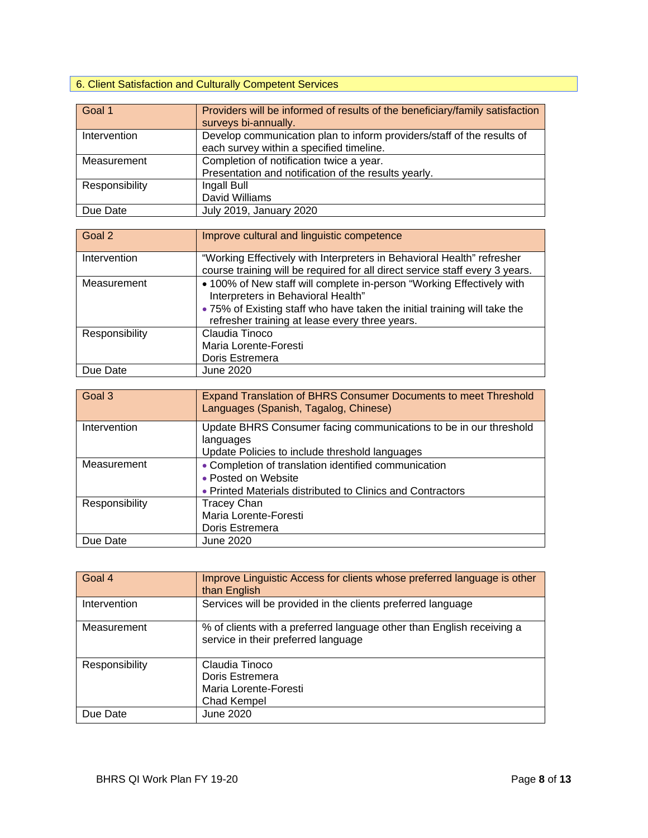## 6. Client Satisfaction and Culturally Competent Services

| Goal 1         | Providers will be informed of results of the beneficiary/family satisfaction<br>surveys bi-annually.               |
|----------------|--------------------------------------------------------------------------------------------------------------------|
| Intervention   | Develop communication plan to inform providers/staff of the results of<br>each survey within a specified timeline. |
| Measurement    | Completion of notification twice a year.<br>Presentation and notification of the results yearly.                   |
| Responsibility | Ingall Bull<br>David Williams                                                                                      |
| Due Date       | July 2019, January 2020                                                                                            |

| Goal 2         | Improve cultural and linguistic competence                                                                                                                                                                                                 |
|----------------|--------------------------------------------------------------------------------------------------------------------------------------------------------------------------------------------------------------------------------------------|
| Intervention   | "Working Effectively with Interpreters in Behavioral Health" refresher<br>course training will be required for all direct service staff every 3 years.                                                                                     |
| Measurement    | • 100% of New staff will complete in-person "Working Effectively with<br>Interpreters in Behavioral Health"<br>• 75% of Existing staff who have taken the initial training will take the<br>refresher training at lease every three years. |
| Responsibility | Claudia Tinoco<br>Maria Lorente-Foresti<br>Doris Estremera                                                                                                                                                                                 |
| Due Date       | June 2020                                                                                                                                                                                                                                  |

| Goal 3         | Expand Translation of BHRS Consumer Documents to meet Threshold<br>Languages (Spanish, Tagalog, Chinese) |
|----------------|----------------------------------------------------------------------------------------------------------|
| Intervention   | Update BHRS Consumer facing communications to be in our threshold<br>languages                           |
|                | Update Policies to include threshold languages                                                           |
| Measurement    | • Completion of translation identified communication                                                     |
|                | • Posted on Website                                                                                      |
|                | • Printed Materials distributed to Clinics and Contractors                                               |
| Responsibility | <b>Tracey Chan</b>                                                                                       |
|                | Maria Lorente-Foresti                                                                                    |
|                | Doris Estremera                                                                                          |
| Due Date       | June 2020                                                                                                |

| Goal 4         | Improve Linguistic Access for clients whose preferred language is other<br>than English                      |
|----------------|--------------------------------------------------------------------------------------------------------------|
| Intervention   | Services will be provided in the clients preferred language                                                  |
| Measurement    | % of clients with a preferred language other than English receiving a<br>service in their preferred language |
| Responsibility | Claudia Tinoco<br>Doris Estremera<br>Maria Lorente-Foresti<br>Chad Kempel                                    |
| Due Date       | June 2020                                                                                                    |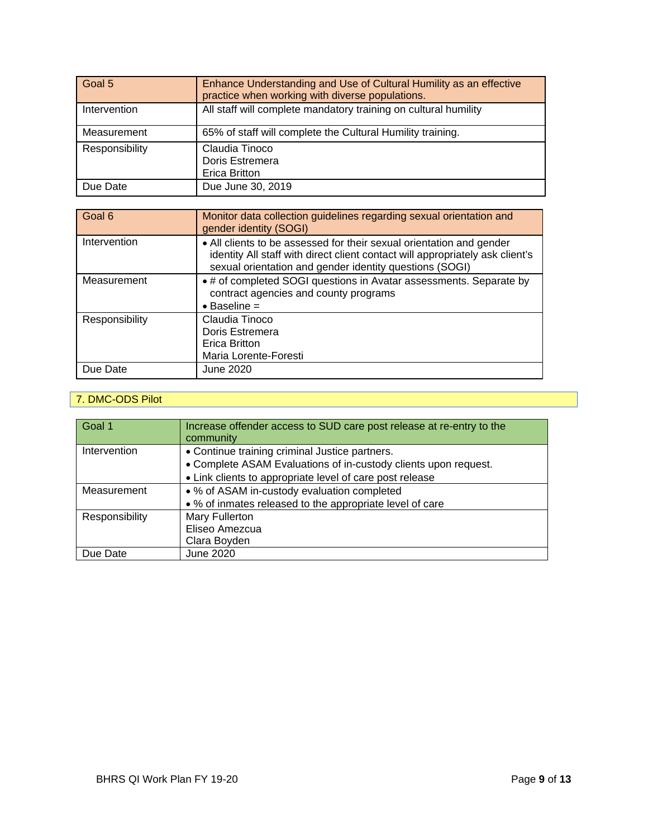| Goal 5         | Enhance Understanding and Use of Cultural Humility as an effective<br>practice when working with diverse populations. |
|----------------|-----------------------------------------------------------------------------------------------------------------------|
| Intervention   | All staff will complete mandatory training on cultural humility                                                       |
| Measurement    | 65% of staff will complete the Cultural Humility training.                                                            |
| Responsibility | Claudia Tinoco<br>Doris Estremera<br><b>Erica Britton</b>                                                             |
| Due Date       | Due June 30, 2019                                                                                                     |

| Goal 6         | Monitor data collection guidelines regarding sexual orientation and<br>gender identity (SOGI)                                                                                                                    |
|----------------|------------------------------------------------------------------------------------------------------------------------------------------------------------------------------------------------------------------|
| Intervention   | • All clients to be assessed for their sexual orientation and gender<br>identity All staff with direct client contact will appropriately ask client's<br>sexual orientation and gender identity questions (SOGI) |
| Measurement    | • # of completed SOGI questions in Avatar assessments. Separate by<br>contract agencies and county programs<br>$\bullet$ Baseline =                                                                              |
| Responsibility | Claudia Tinoco<br>Doris Estremera<br>Erica Britton<br>Maria Lorente-Foresti                                                                                                                                      |
| Due Date       | June 2020                                                                                                                                                                                                        |

#### 7. DMC-ODS Pilot

| Goal 1         | Increase offender access to SUD care post release at re-entry to the<br>community                                 |
|----------------|-------------------------------------------------------------------------------------------------------------------|
| Intervention   | • Continue training criminal Justice partners.<br>• Complete ASAM Evaluations of in-custody clients upon request. |
|                | • Link clients to appropriate level of care post release                                                          |
| Measurement    | • % of ASAM in-custody evaluation completed                                                                       |
|                | • % of inmates released to the appropriate level of care                                                          |
| Responsibility | Mary Fullerton                                                                                                    |
|                | Eliseo Amezcua                                                                                                    |
|                | Clara Boyden                                                                                                      |
| Due Date       | June 2020                                                                                                         |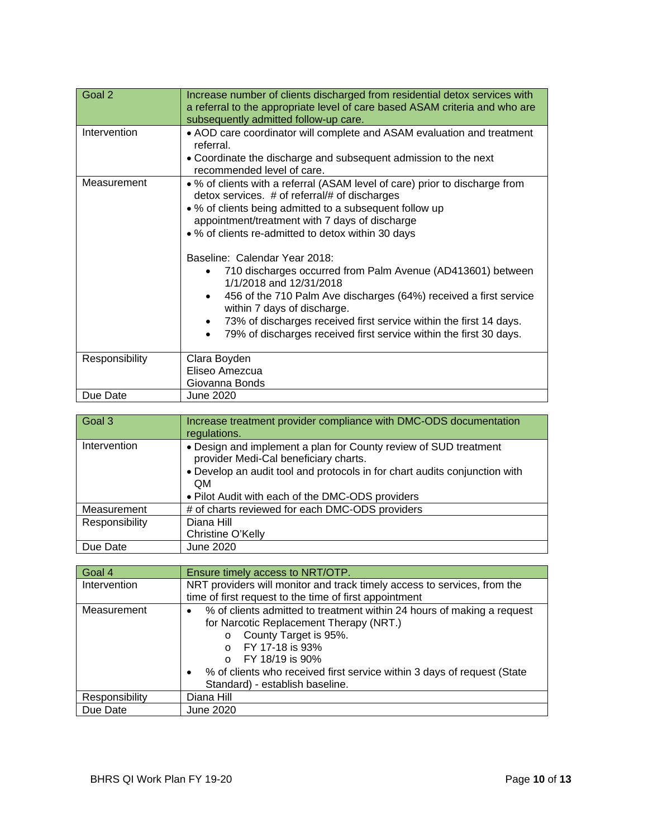| Goal 2         | Increase number of clients discharged from residential detox services with<br>a referral to the appropriate level of care based ASAM criteria and who are<br>subsequently admitted follow-up care.                                                                                                                                                                                                                                                                                                                                                                                                                                                                         |
|----------------|----------------------------------------------------------------------------------------------------------------------------------------------------------------------------------------------------------------------------------------------------------------------------------------------------------------------------------------------------------------------------------------------------------------------------------------------------------------------------------------------------------------------------------------------------------------------------------------------------------------------------------------------------------------------------|
| Intervention   | • AOD care coordinator will complete and ASAM evaluation and treatment<br>referral.<br>• Coordinate the discharge and subsequent admission to the next<br>recommended level of care.                                                                                                                                                                                                                                                                                                                                                                                                                                                                                       |
| Measurement    | • % of clients with a referral (ASAM level of care) prior to discharge from<br>detox services. # of referral/# of discharges<br>• % of clients being admitted to a subsequent follow up<br>appointment/treatment with 7 days of discharge<br>• % of clients re-admitted to detox within 30 days<br>Baseline: Calendar Year 2018:<br>710 discharges occurred from Palm Avenue (AD413601) between<br>1/1/2018 and 12/31/2018<br>456 of the 710 Palm Ave discharges (64%) received a first service<br>within 7 days of discharge.<br>73% of discharges received first service within the first 14 days.<br>79% of discharges received first service within the first 30 days. |
| Responsibility | Clara Boyden<br>Eliseo Amezcua<br>Giovanna Bonds                                                                                                                                                                                                                                                                                                                                                                                                                                                                                                                                                                                                                           |
| Due Date       | June 2020                                                                                                                                                                                                                                                                                                                                                                                                                                                                                                                                                                                                                                                                  |

| Goal 3         | Increase treatment provider compliance with DMC-ODS documentation<br>regulations.                                                                                                                                                                        |
|----------------|----------------------------------------------------------------------------------------------------------------------------------------------------------------------------------------------------------------------------------------------------------|
| Intervention   | • Design and implement a plan for County review of SUD treatment<br>provider Medi-Cal beneficiary charts.<br>• Develop an audit tool and protocols in for chart audits conjunction with<br><b>QM</b><br>. Pilot Audit with each of the DMC-ODS providers |
| Measurement    | # of charts reviewed for each DMC-ODS providers                                                                                                                                                                                                          |
| Responsibility | Diana Hill<br>Christine O'Kelly                                                                                                                                                                                                                          |
| Due Date       | June 2020                                                                                                                                                                                                                                                |

| Goal 4         | Ensure timely access to NRT/OTP.                                                     |
|----------------|--------------------------------------------------------------------------------------|
| Intervention   | NRT providers will monitor and track timely access to services, from the             |
|                | time of first request to the time of first appointment                               |
| Measurement    | % of clients admitted to treatment within 24 hours of making a request<br>٠          |
|                | for Narcotic Replacement Therapy (NRT.)                                              |
|                | County Target is 95%.<br>$\circ$                                                     |
|                | FY 17-18 is 93%                                                                      |
|                | FY 18/19 is 90%<br>$\Omega$                                                          |
|                | % of clients who received first service within 3 days of request (State<br>$\bullet$ |
|                | Standard) - establish baseline.                                                      |
| Responsibility | Diana Hill                                                                           |
| Due Date       | June 2020                                                                            |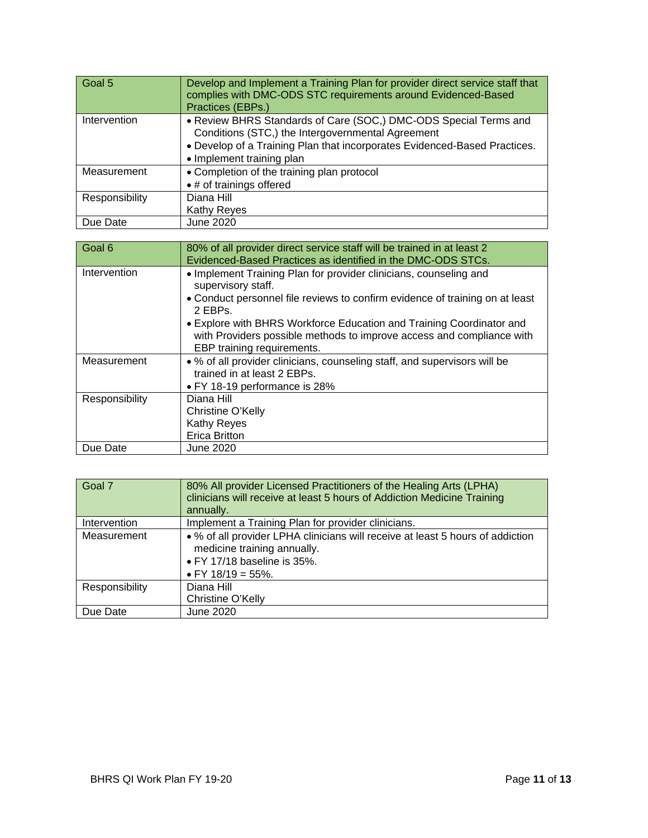| Goal 5         | Develop and Implement a Training Plan for provider direct service staff that<br>complies with DMC-ODS STC requirements around Evidenced-Based<br>Practices (EBPs.)                                                              |
|----------------|---------------------------------------------------------------------------------------------------------------------------------------------------------------------------------------------------------------------------------|
| Intervention   | • Review BHRS Standards of Care (SOC,) DMC-ODS Special Terms and<br>Conditions (STC,) the Intergovernmental Agreement<br>. Develop of a Training Plan that incorporates Evidenced-Based Practices.<br>• Implement training plan |
| Measurement    | • Completion of the training plan protocol<br>• # of trainings offered                                                                                                                                                          |
| Responsibility | Diana Hill<br>Kathy Reyes                                                                                                                                                                                                       |
| Due Date       | June 2020                                                                                                                                                                                                                       |

| Goal 6         | 80% of all provider direct service staff will be trained in at least 2                                                                                                      |
|----------------|-----------------------------------------------------------------------------------------------------------------------------------------------------------------------------|
|                | Evidenced-Based Practices as identified in the DMC-ODS STCs.                                                                                                                |
| Intervention   | • Implement Training Plan for provider clinicians, counseling and                                                                                                           |
|                | supervisory staff.                                                                                                                                                          |
|                | • Conduct personnel file reviews to confirm evidence of training on at least<br>2 EBPs.                                                                                     |
|                | • Explore with BHRS Workforce Education and Training Coordinator and<br>with Providers possible methods to improve access and compliance with<br>EBP training requirements. |
| Measurement    | • % of all provider clinicians, counseling staff, and supervisors will be                                                                                                   |
|                | trained in at least 2 EBPs.                                                                                                                                                 |
|                | • FY 18-19 performance is 28%                                                                                                                                               |
| Responsibility | Diana Hill                                                                                                                                                                  |
|                | Christine O'Kelly                                                                                                                                                           |
|                | <b>Kathy Reyes</b>                                                                                                                                                          |
|                | Erica Britton                                                                                                                                                               |
| Due Date       | <b>June 2020</b>                                                                                                                                                            |

| Goal 7         | 80% All provider Licensed Practitioners of the Healing Arts (LPHA)<br>clinicians will receive at least 5 hours of Addiction Medicine Training<br>annually.            |
|----------------|-----------------------------------------------------------------------------------------------------------------------------------------------------------------------|
| Intervention   | Implement a Training Plan for provider clinicians.                                                                                                                    |
| Measurement    | • % of all provider LPHA clinicians will receive at least 5 hours of addiction<br>medicine training annually.<br>• FY 17/18 baseline is 35%.<br>• FY $18/19 = 55\%$ . |
| Responsibility | Diana Hill                                                                                                                                                            |
|                | Christine O'Kelly                                                                                                                                                     |
| Due Date       | June 2020                                                                                                                                                             |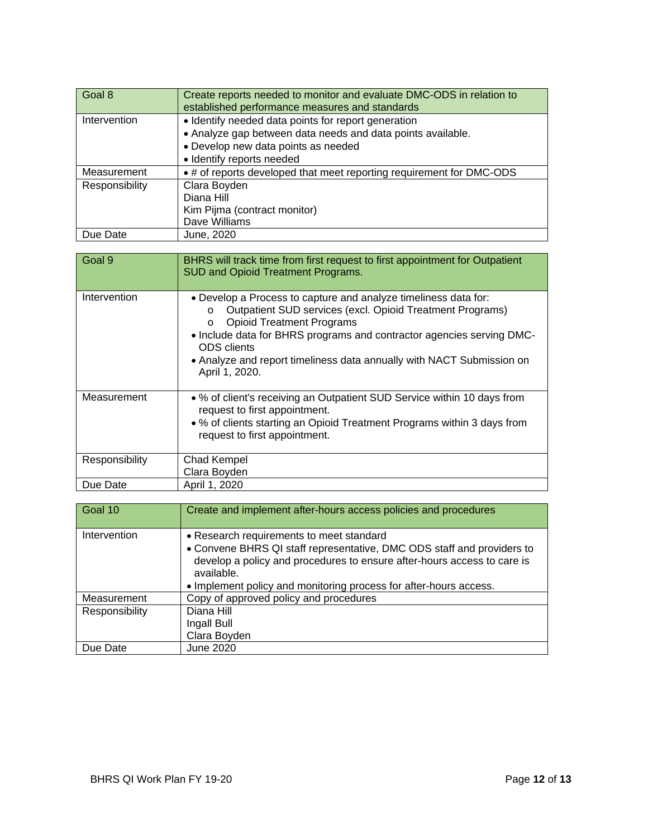| Goal 8         | Create reports needed to monitor and evaluate DMC-ODS in relation to<br>established performance measures and standards |
|----------------|------------------------------------------------------------------------------------------------------------------------|
| Intervention   | • Identify needed data points for report generation                                                                    |
|                | • Analyze gap between data needs and data points available.                                                            |
|                | • Develop new data points as needed                                                                                    |
|                | · Identify reports needed                                                                                              |
| Measurement    | • # of reports developed that meet reporting requirement for DMC-ODS                                                   |
| Responsibility | Clara Boyden                                                                                                           |
|                | Diana Hill                                                                                                             |
|                | Kim Pijma (contract monitor)                                                                                           |
|                | Dave Williams                                                                                                          |
| Due Date       | June, 2020                                                                                                             |

| Goal 9         | BHRS will track time from first request to first appointment for Outpatient<br><b>SUD and Opioid Treatment Programs.</b>                                                                                                                                                                                                                                                         |
|----------------|----------------------------------------------------------------------------------------------------------------------------------------------------------------------------------------------------------------------------------------------------------------------------------------------------------------------------------------------------------------------------------|
| Intervention   | • Develop a Process to capture and analyze timeliness data for:<br>Outpatient SUD services (excl. Opioid Treatment Programs)<br>$\circ$<br><b>Opioid Treatment Programs</b><br>$\circ$<br>• Include data for BHRS programs and contractor agencies serving DMC-<br><b>ODS</b> clients<br>• Analyze and report timeliness data annually with NACT Submission on<br>April 1, 2020. |
| Measurement    | • % of client's receiving an Outpatient SUD Service within 10 days from<br>request to first appointment.<br>• % of clients starting an Opioid Treatment Programs within 3 days from<br>request to first appointment.                                                                                                                                                             |
| Responsibility | <b>Chad Kempel</b><br>Clara Boyden                                                                                                                                                                                                                                                                                                                                               |
| Due Date       | April 1, 2020                                                                                                                                                                                                                                                                                                                                                                    |

| Goal 10        | Create and implement after-hours access policies and procedures                                                                                                                                             |
|----------------|-------------------------------------------------------------------------------------------------------------------------------------------------------------------------------------------------------------|
| Intervention   | • Research requirements to meet standard<br>• Convene BHRS QI staff representative, DMC ODS staff and providers to<br>develop a policy and procedures to ensure after-hours access to care is<br>available. |
|                | • Implement policy and monitoring process for after-hours access.                                                                                                                                           |
| Measurement    | Copy of approved policy and procedures                                                                                                                                                                      |
| Responsibility | Diana Hill<br>Ingall Bull<br>Clara Boyden                                                                                                                                                                   |
| Due Date       | June 2020                                                                                                                                                                                                   |